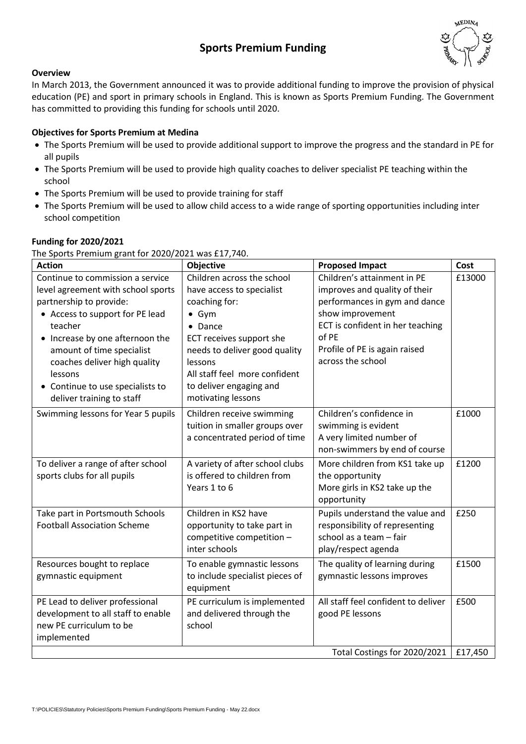# **Sports Premium Funding**



#### **Overview**

In March 2013, the Government announced it was to provide additional funding to improve the provision of physical education (PE) and sport in primary schools in England. This is known as Sports Premium Funding. The Government has committed to providing this funding for schools until 2020.

#### **Objectives for Sports Premium at Medina**

- The Sports Premium will be used to provide additional support to improve the progress and the standard in PE for all pupils
- The Sports Premium will be used to provide high quality coaches to deliver specialist PE teaching within the school
- The Sports Premium will be used to provide training for staff
- The Sports Premium will be used to allow child access to a wide range of sporting opportunities including inter school competition

#### **Funding for 2020/2021**

The Sports Premium grant for 2020/2021 was £17,740.

| <b>Action</b>                                                                                                                                                                                                                                                                                                                        | Objective                                                                                                                                                                                                                                                      | <b>Proposed Impact</b>                                                                                                                                                                                               | Cost           |
|--------------------------------------------------------------------------------------------------------------------------------------------------------------------------------------------------------------------------------------------------------------------------------------------------------------------------------------|----------------------------------------------------------------------------------------------------------------------------------------------------------------------------------------------------------------------------------------------------------------|----------------------------------------------------------------------------------------------------------------------------------------------------------------------------------------------------------------------|----------------|
| Continue to commission a service<br>level agreement with school sports<br>partnership to provide:<br>• Access to support for PE lead<br>teacher<br>Increase by one afternoon the<br>amount of time specialist<br>coaches deliver high quality<br>lessons<br>Continue to use specialists to<br>$\bullet$<br>deliver training to staff | Children across the school<br>have access to specialist<br>coaching for:<br>$\bullet$ Gym<br>• Dance<br>ECT receives support she<br>needs to deliver good quality<br>lessons<br>All staff feel more confident<br>to deliver engaging and<br>motivating lessons | Children's attainment in PE<br>improves and quality of their<br>performances in gym and dance<br>show improvement<br>ECT is confident in her teaching<br>of PE<br>Profile of PE is again raised<br>across the school | £13000         |
| Swimming lessons for Year 5 pupils<br>To deliver a range of after school                                                                                                                                                                                                                                                             | Children receive swimming<br>tuition in smaller groups over<br>a concentrated period of time<br>A variety of after school clubs                                                                                                                                | Children's confidence in<br>swimming is evident<br>A very limited number of<br>non-swimmers by end of course<br>More children from KS1 take up                                                                       | £1000<br>£1200 |
| sports clubs for all pupils                                                                                                                                                                                                                                                                                                          | is offered to children from<br>Years 1 to 6                                                                                                                                                                                                                    | the opportunity<br>More girls in KS2 take up the<br>opportunity                                                                                                                                                      |                |
| Take part in Portsmouth Schools<br><b>Football Association Scheme</b>                                                                                                                                                                                                                                                                | Children in KS2 have<br>opportunity to take part in<br>competitive competition -<br>inter schools                                                                                                                                                              | Pupils understand the value and<br>responsibility of representing<br>school as a team - fair<br>play/respect agenda                                                                                                  | £250           |
| Resources bought to replace<br>gymnastic equipment                                                                                                                                                                                                                                                                                   | To enable gymnastic lessons<br>to include specialist pieces of<br>equipment                                                                                                                                                                                    | The quality of learning during<br>gymnastic lessons improves                                                                                                                                                         | £1500          |
| PE Lead to deliver professional<br>development to all staff to enable<br>new PE curriculum to be<br>implemented                                                                                                                                                                                                                      | PE curriculum is implemented<br>and delivered through the<br>school                                                                                                                                                                                            | All staff feel confident to deliver<br>good PE lessons                                                                                                                                                               | £500           |
|                                                                                                                                                                                                                                                                                                                                      |                                                                                                                                                                                                                                                                | Total Costings for 2020/2021                                                                                                                                                                                         | £17,450        |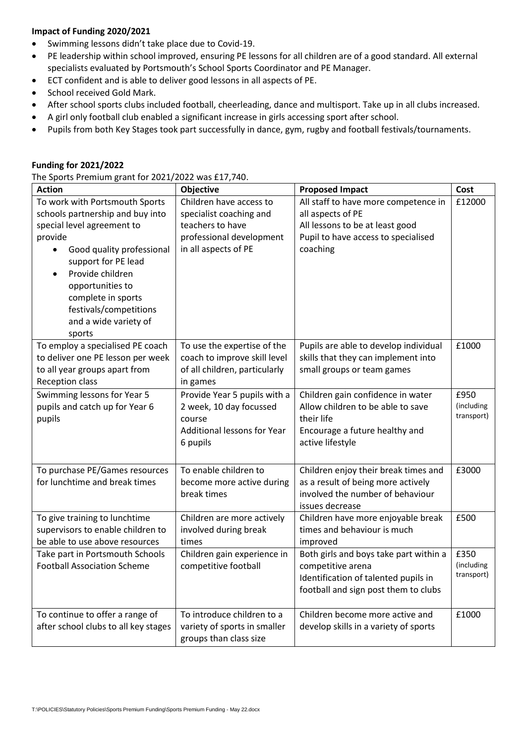### **Impact of Funding 2020/2021**

- Swimming lessons didn't take place due to Covid-19.
- PE leadership within school improved, ensuring PE lessons for all children are of a good standard. All external specialists evaluated by Portsmouth's School Sports Coordinator and PE Manager.
- ECT confident and is able to deliver good lessons in all aspects of PE.
- **•** School received Gold Mark.
- After school sports clubs included football, cheerleading, dance and multisport. Take up in all clubs increased.
- A girl only football club enabled a significant increase in girls accessing sport after school.
- Pupils from both Key Stages took part successfully in dance, gym, rugby and football festivals/tournaments.

#### **Funding for 2021/2022**

| The Sports Premium grant for 2021/2022 was £17,740. |  |  |  |
|-----------------------------------------------------|--|--|--|
|-----------------------------------------------------|--|--|--|

| <b>Action</b>                                                                                                                                                                                                                                                                              | Objective                                                                                                                  | <b>Proposed Impact</b>                                                                                                                          | Cost                             |
|--------------------------------------------------------------------------------------------------------------------------------------------------------------------------------------------------------------------------------------------------------------------------------------------|----------------------------------------------------------------------------------------------------------------------------|-------------------------------------------------------------------------------------------------------------------------------------------------|----------------------------------|
| To work with Portsmouth Sports<br>schools partnership and buy into<br>special level agreement to<br>provide<br>Good quality professional<br>support for PE lead<br>Provide children<br>opportunities to<br>complete in sports<br>festivals/competitions<br>and a wide variety of<br>sports | Children have access to<br>specialist coaching and<br>teachers to have<br>professional development<br>in all aspects of PE | All staff to have more competence in<br>all aspects of PE<br>All lessons to be at least good<br>Pupil to have access to specialised<br>coaching | £12000                           |
| To employ a specialised PE coach<br>to deliver one PE lesson per week<br>to all year groups apart from<br>Reception class                                                                                                                                                                  | To use the expertise of the<br>coach to improve skill level<br>of all children, particularly<br>in games                   | Pupils are able to develop individual<br>skills that they can implement into<br>small groups or team games                                      | £1000                            |
| Swimming lessons for Year 5<br>pupils and catch up for Year 6<br>pupils                                                                                                                                                                                                                    | Provide Year 5 pupils with a<br>2 week, 10 day focussed<br>course<br>Additional lessons for Year<br>6 pupils               | Children gain confidence in water<br>Allow children to be able to save<br>their life<br>Encourage a future healthy and<br>active lifestyle      | £950<br>(including<br>transport) |
| To purchase PE/Games resources<br>for lunchtime and break times                                                                                                                                                                                                                            | To enable children to<br>become more active during<br>break times                                                          | Children enjoy their break times and<br>as a result of being more actively<br>involved the number of behaviour<br>issues decrease               | £3000                            |
| To give training to lunchtime<br>supervisors to enable children to<br>be able to use above resources                                                                                                                                                                                       | Children are more actively<br>involved during break<br>times                                                               | Children have more enjoyable break<br>times and behaviour is much<br>improved                                                                   | £500                             |
| Take part in Portsmouth Schools<br><b>Football Association Scheme</b>                                                                                                                                                                                                                      | Children gain experience in<br>competitive football                                                                        | Both girls and boys take part within a<br>competitive arena<br>Identification of talented pupils in<br>football and sign post them to clubs     | £350<br>(including<br>transport) |
| To continue to offer a range of<br>after school clubs to all key stages                                                                                                                                                                                                                    | To introduce children to a<br>variety of sports in smaller<br>groups than class size                                       | Children become more active and<br>develop skills in a variety of sports                                                                        | £1000                            |